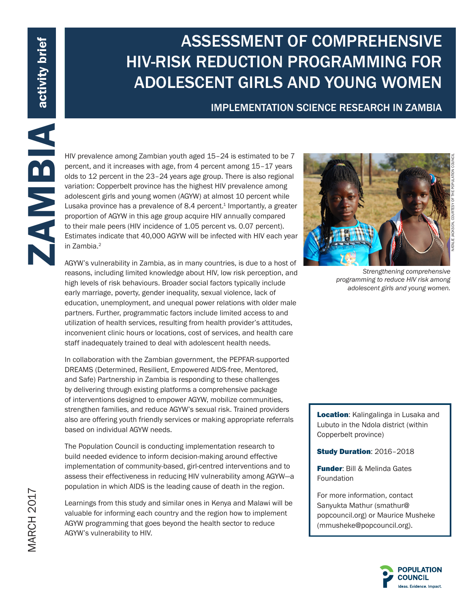# ASSESSMENT OF COMPREHENSIVE HIV-RISK REDUCTION PROGRAMMING FOR ADOLESCENT GIRLS AND YOUNG WOMEN

## IMPLEMENTATION SCIENCE RESEARCH IN ZAMBIA

MW prevalence among Zambian youth aged 15–24 is estimated to be 7<br>percent, and it increases with age, from 4 percent menng 15–17 years<br>olso to 12 percent in the 23–24 years age group. There is also regional<br>original origin percent, and it increases with age, from 4 percent among 15–17 years olds to 12 percent in the 23–24 years age group. There is also regional variation: Copperbelt province has the highest HIV prevalence among adolescent girls and young women (AGYW) at almost 10 percent while Lusaka province has a prevalence of  $8.4$  percent.<sup>1</sup> Importantly, a greater proportion of AGYW in this age group acquire HIV annually compared to their male peers (HIV incidence of 1.05 percent vs. 0.07 percent). Estimates indicate that 40,000 AGYW will be infected with HIV each year in Zambia.<sup>2</sup>

AGYW's vulnerability in Zambia, as in many countries, is due to a host of reasons, including limited knowledge about HIV, low risk perception, and high levels of risk behaviours. Broader social factors typically include early marriage, poverty, gender inequality, sexual violence, lack of education, unemployment, and unequal power relations with older male partners. Further, programmatic factors include limited access to and utilization of health services, resulting from health provider's attitudes, inconvenient clinic hours or locations, cost of services, and health care staff inadequately trained to deal with adolescent health needs.

In collaboration with the Zambian government, the PEPFAR-supported DREAMS (Determined, Resilient, Empowered AIDS-free, Mentored, and Safe) Partnership in Zambia is responding to these challenges by delivering through existing platforms a comprehensive package of interventions designed to empower AGYW, mobilize communities, strengthen families, and reduce AGYW's sexual risk. Trained providers also are offering youth friendly services or making appropriate referrals based on individual AGYW needs.

The Population Council is conducting implementation research to build needed evidence to inform decision-making around effective implementation of community-based, girl-centred interventions and to assess their effectiveness in reducing HIV vulnerability among AGYW—a population in which AIDS is the leading cause of death in the region.

Learnings from this study and similar ones in Kenya and Malawi will be valuable for informing each country and the region how to implement AGYW programming that goes beyond the health sector to reduce AGYW's vulnerability to HIV.



*Strengthening comprehensive programming to reduce HIV risk among adolescent girls and young women.*

Location: Kalingalinga in Lusaka and Lubuto in the Ndola district (within Copperbelt province)

Study Duration: 2016–2018

**Funder: Bill & Melinda Gates** Foundation

For more information, contact Sanyukta Mathur (smathur@ popcouncil.org) or Maurice Musheke (mmusheke@popcouncil.org).